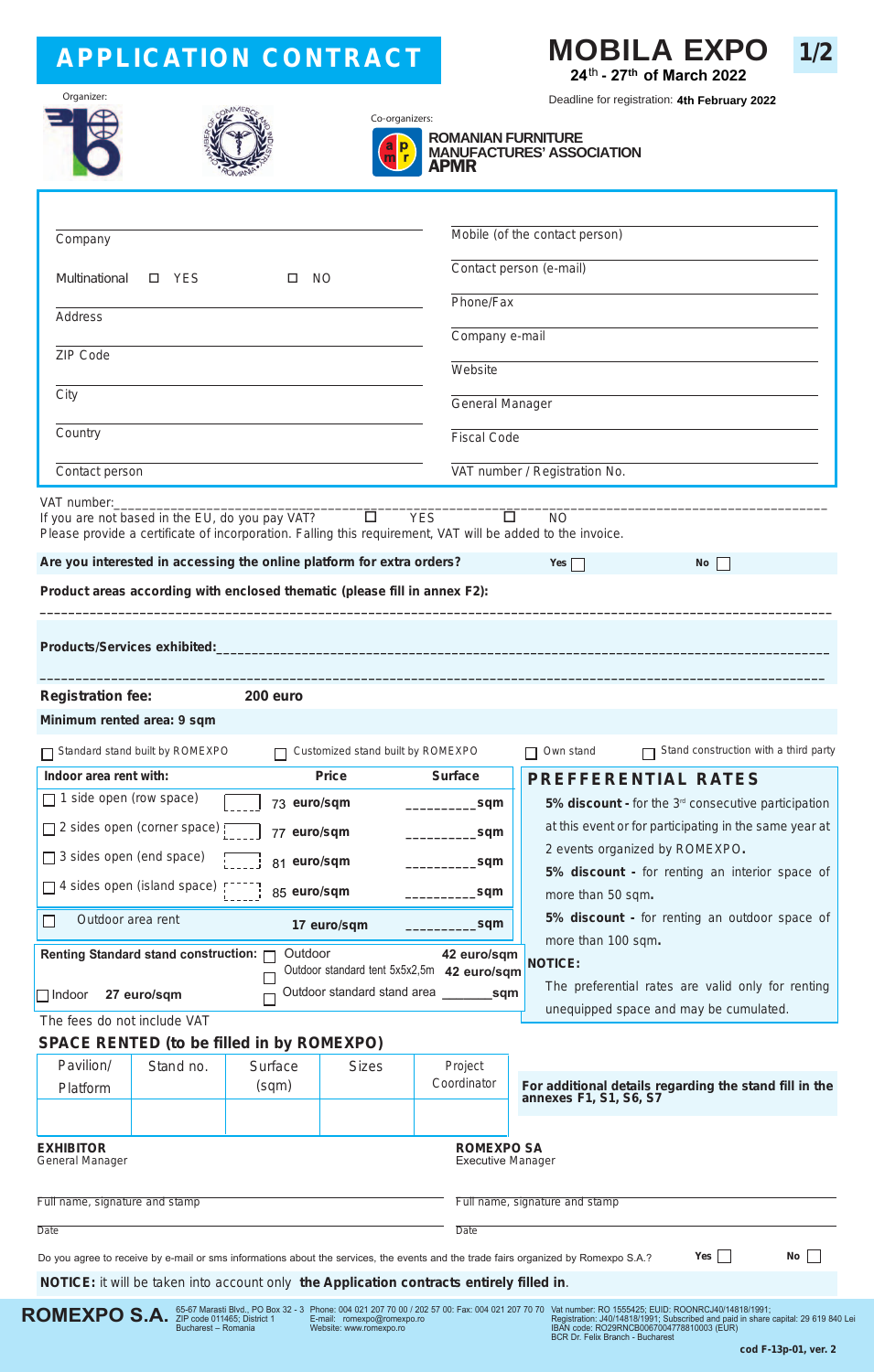# **APPLICATION CONTRACT**



**1/2**

Deadline for registration: **4th February 2022**

| Organizer: |  |  |  |  |  |
|------------|--|--|--|--|--|
|            |  |  |  |  |  |
|            |  |  |  |  |  |
|            |  |  |  |  |  |
|            |  |  |  |  |  |



**ROMEXPO S.A.** *S*5-67 Marasti Blvd., PO Box 32 - 3<br>Bucharest – Romania



## **ROMANIAN FURNITURE**

**MANUFACTURES' ASSOCIATION** APMR

| Company                                                                                                                                                                                                                                                                                                                                                                                                      |           |                                                  |                            |                                               | Mobile (of the contact person)                                                |  |  |
|--------------------------------------------------------------------------------------------------------------------------------------------------------------------------------------------------------------------------------------------------------------------------------------------------------------------------------------------------------------------------------------------------------------|-----------|--------------------------------------------------|----------------------------|-----------------------------------------------|-------------------------------------------------------------------------------|--|--|
|                                                                                                                                                                                                                                                                                                                                                                                                              |           |                                                  |                            |                                               | Contact person (e-mail)                                                       |  |  |
| Multinational<br>□ YES<br><b>NO</b><br>□                                                                                                                                                                                                                                                                                                                                                                     |           |                                                  |                            | Phone/Fax                                     |                                                                               |  |  |
| Address                                                                                                                                                                                                                                                                                                                                                                                                      |           |                                                  |                            |                                               |                                                                               |  |  |
| ZIP Code                                                                                                                                                                                                                                                                                                                                                                                                     |           |                                                  |                            |                                               | Company e-mail                                                                |  |  |
|                                                                                                                                                                                                                                                                                                                                                                                                              |           |                                                  |                            | Website                                       |                                                                               |  |  |
| City                                                                                                                                                                                                                                                                                                                                                                                                         |           |                                                  |                            |                                               | General Manager                                                               |  |  |
| Country                                                                                                                                                                                                                                                                                                                                                                                                      |           |                                                  |                            |                                               | <b>Fiscal Code</b>                                                            |  |  |
| Contact person                                                                                                                                                                                                                                                                                                                                                                                               |           |                                                  |                            |                                               | VAT number / Registration No.                                                 |  |  |
| VAT number:<br>$\Box$<br><b>YES</b><br>$\Box$<br><b>NO</b><br>If you are not based in the EU, do you pay VAT?<br>Please provide a certificate of incorporation. Falling this requirement, VAT will be added to the invoice.<br>Are you interested in accessing the online platform for extra orders?<br>$Yes \Box$<br><b>No</b><br>Product areas according with enclosed thematic (please fill in annex F2): |           |                                                  |                            |                                               |                                                                               |  |  |
| <b>Registration fee:</b><br>200 euro<br>Minimum rented area: 9 sqm                                                                                                                                                                                                                                                                                                                                           |           |                                                  |                            |                                               |                                                                               |  |  |
| Stand construction with a third party<br>Standard stand built by ROMEXPO<br>Customized stand built by ROMEXPO<br>Own stand                                                                                                                                                                                                                                                                                   |           |                                                  |                            |                                               |                                                                               |  |  |
| <b>Price</b><br>Indoor area rent with:                                                                                                                                                                                                                                                                                                                                                                       |           | <b>Surface</b>                                   | <b>PREFFERENTIAL RATES</b> |                                               |                                                                               |  |  |
| 1 side open (row space)                                                                                                                                                                                                                                                                                                                                                                                      |           | 73 euro/sqm                                      |                            | sqm                                           | 5% discount - for the $3rd$ consecutive participation                         |  |  |
| □ 2 sides open (corner space) [<br>77 euro/sqm<br>sqm                                                                                                                                                                                                                                                                                                                                                        |           |                                                  |                            |                                               | at this event or for participating in the same year at                        |  |  |
| $\Box$ 3 sides open (end space)<br>81 euro/sqm                                                                                                                                                                                                                                                                                                                                                               |           |                                                  |                            | sqm                                           | 2 events organized by ROMEXPO.                                                |  |  |
| 5% discount - for renting an interior space of<br>$\Box$ 4 sides open (island space)<br>85 euro/sqm<br>sqm<br>more than 50 sqm.                                                                                                                                                                                                                                                                              |           |                                                  |                            |                                               |                                                                               |  |  |
| Outdoor area rent<br>$\mathsf{L}$<br>17 euro/sqm<br>_sqm                                                                                                                                                                                                                                                                                                                                                     |           |                                                  |                            | 5% discount - for renting an outdoor space of |                                                                               |  |  |
|                                                                                                                                                                                                                                                                                                                                                                                                              |           | Outdoor                                          | more than 100 sqm.         |                                               |                                                                               |  |  |
| Renting Standard stand construction:<br>42 euro/sqm<br>Outdoor standard tent 5x5x2,5m 42 euro/sqm                                                                                                                                                                                                                                                                                                            |           |                                                  |                            |                                               | <b>NOTICE:</b>                                                                |  |  |
| Outdoor standard stand area<br>$\Box$ Indoor<br>27 euro/sqm                                                                                                                                                                                                                                                                                                                                                  |           |                                                  |                            | <b>Sample 19</b>                              | The preferential rates are valid only for renting                             |  |  |
| unequipped space and may be cumulated.<br>The fees do not include VAT                                                                                                                                                                                                                                                                                                                                        |           |                                                  |                            |                                               |                                                                               |  |  |
|                                                                                                                                                                                                                                                                                                                                                                                                              |           | <b>SPACE RENTED (to be filled in by ROMEXPO)</b> |                            |                                               |                                                                               |  |  |
| Pavilion/<br>Platform                                                                                                                                                                                                                                                                                                                                                                                        | Stand no. | Surface<br>(sqm)                                 | <b>Sizes</b>               | Project<br>Coordinator                        |                                                                               |  |  |
|                                                                                                                                                                                                                                                                                                                                                                                                              |           |                                                  |                            |                                               | For additional details regarding the stand fill in the annexes F1, S1, S6, S7 |  |  |
| <b>ROMEXPO SA</b><br><b>EXHIBITOR</b><br><b>Executive Manager</b><br>General Manager                                                                                                                                                                                                                                                                                                                         |           |                                                  |                            |                                               |                                                                               |  |  |
| Full name, signature and stamp                                                                                                                                                                                                                                                                                                                                                                               |           |                                                  |                            |                                               | Full name, signature and stamp                                                |  |  |
| Date                                                                                                                                                                                                                                                                                                                                                                                                         |           |                                                  |                            | Date                                          |                                                                               |  |  |
| No<br>Yes<br>Do you agree to receive by e-mail or sms informations about the services, the events and the trade fairs organized by Romexpo S.A.?                                                                                                                                                                                                                                                             |           |                                                  |                            |                                               |                                                                               |  |  |
| NOTICE: it will be taken into account only the Application contracts entirely filled in.                                                                                                                                                                                                                                                                                                                     |           |                                                  |                            |                                               |                                                                               |  |  |

Phone: 004 021 207 70 00 / 202 57 00: Fax: 004 021 207 70 70 E-mail: romexpo@romexpo.ro Website: www.romexpo.ro

.